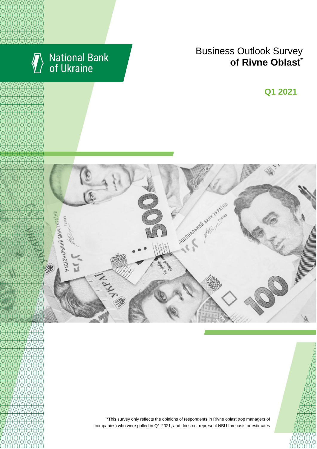

# National Bank<br>of Ukraine

# **Business Outlook Survey conterprise of Rivne Oblast**

**Q2 2018 Q1 2021**



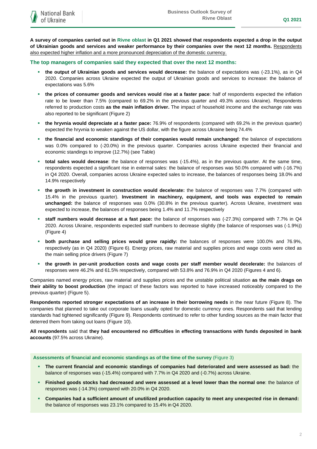**A survey of companies carried out in Rivne oblast in Q1 2021 showed that respondents expected a drop in the output of Ukrainian goods and services and weaker performance by their companies over the next 12 months.** Respondents also expected higher inflation and a more pronounced depreciation of the domestic currency.

#### **The top managers of companies said they expected that over the next 12 months:**

- **the output of Ukrainian goods and services would decrease:** the balance of expectations was (-23.1%), as in Q4 2020. Companies across Ukraine expected the output of Ukrainian goods and services to increase: the balance of expectations was 5.6%
- **the prices of consumer goods and services would rise at a faster pace**: half of respondents expected the inflation rate to be lower than 7.5% (compared to 69.2% in the previous quarter and 49.3% across Ukraine). Respondents referred to production costs **as the main inflation driver.** The impact of household income and the exchange rate was also reported to be significant (Figure 2)
- **the hryvnia would depreciate at a faster pace:** 76.9% of respondents (compared with 69.2% in the previous quarter) expected the hryvnia to weaken against the US dollar, with the figure across Ukraine being 74.4%
- **the financial and economic standings of their companies would remain unchanged**: the balance of expectations was 0.0% compared to (-20.0%) in the previous quarter. Companies across Ukraine expected their financial and economic standings to improve (12.7%) (see Table)
- **total sales would decrease**: the balance of responses was (-15.4%), as in the previous quarter. At the same time, respondents expected a significant rise in external sales: the balance of responses was 50.0% compared with (-16.7%) in Q4 2020. Overall, companies across Ukraine expected sales to increase, the balances of responses being 18.0% and 14.9% respectively
- **the growth in investment in construction would decelerate:** the balance of responses was 7.7% (compared with 15.4% in the previous quarter). **Investment in machinery, equipment, and tools was expected to remain unchanged:** the balance of responses was 0.0% (30.8% in the previous quarter). Across Ukraine, investment was expected to increase, the balances of responses being 1.4% and 11.7% respectively
- **staff numbers would decrease at a fast pace:** the balance of responses was (-27.3%) compared with 7.7% in Q4 2020. Across Ukraine, respondents expected staff numbers to decrease slightly (the balance of responses was (-1.9%)) (Figure 4)
- **both purchase and selling prices would grow rapidly:** the balances of responses were 100.0% and 76.9%, respectively (as in Q4 2020) (Figure 6). Energy prices, raw material and supplies prices and wage costs were cited as the main selling price drivers (Figure 7)
- **the growth in per-unit production costs and wage costs per staff member would decelerate:** the balances of responses were 46.2% and 61.5% respectively, compared with 53.8% and 76.9% in Q4 2020 (Figures 4 and 6).

Companies named energy prices, raw material and supplies prices and the unstable political situation **as the main drags on their ability to boost production** (the impact of these factors was reported to have increased noticeably compared to the previous quarter) (Figure 5).

**Respondents reported stronger expectations of an increase in their borrowing needs** in the near future (Figure 8). The companies that planned to take out corporate loans usually opted for domestic currency ones. Respondents said that lending standards had tightened significantly (Figure 9). Respondents continued to refer to other funding sources as the main factor that deterred them from taking out loans (Figure 10).

**All respondents** said that **they had encountered no difficulties in effecting transactions with funds deposited in bank accounts** (97.5% across Ukraine).

#### **Assessments of financial and economic standings as of the time of the survey** (Figure 3)

- **The current financial and economic standings of companies had deteriorated and were assessed as bad:** the balance of responses was (-15.4%) compared with 7.7% in Q4 2020 and (-0.7%) across Ukraine.
- **Finished goods stocks had decreased and were assessed at a level lower than the normal one**: the balance of responses was (-14.3%) compared with 20.0% in Q4 2020.
- **Companies had a sufficient amount of unutilized production capacity to meet any unexpected rise in demand:**  the balance of responses was 23.1% compared to 15.4% in Q4 2020.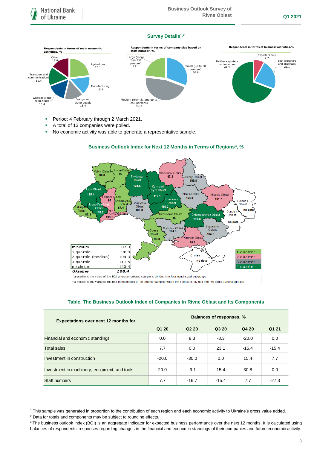#### **Survey Details1,2**



- **Period: 4 February through 2 March 2021.**
- A total of 13 companies were polled.
- No economic activity was able to generate a representative sample.



## **Business Outlook Index for Next 12 Months in Terms of Regions<sup>3</sup> , %**

\*a quartile is the value of the BOI where an ordered sample is divided into four equal-sized subgroups

\*\*a median is the value of the BOI in the middle of an ordered sampled where the sample is divided into two equal-sized subgroups

#### **Table. The Business Outlook Index of Companies in Rivne Oblast and Its Components**

| <b>Expectations over next 12 months for</b>   | <b>Balances of responses, %</b> |                               |         |         |         |
|-----------------------------------------------|---------------------------------|-------------------------------|---------|---------|---------|
|                                               | Q1 20                           | Q <sub>2</sub> 2 <sub>0</sub> | Q3 20   | Q4 20   | Q1 21   |
| Financial and economic standings              | 0.0                             | 8.3                           | $-8.3$  | $-20.0$ | 0.0     |
| <b>Total sales</b>                            | 7.7                             | 0.0                           | 23.1    | $-15.4$ | $-15.4$ |
| Investment in construction                    | $-20.0$                         | $-30.0$                       | 0.0     | 15.4    | 7.7     |
| Investment in machinery, equipment, and tools | 20.0                            | $-9.1$                        | 15.4    | 30.8    | 0.0     |
| Staff numbers                                 | 7.7                             | $-16.7$                       | $-15.4$ | 7.7     | $-27.3$ |

1

<sup>&</sup>lt;sup>1</sup> This sample was generated in proportion to the contribution of each region and each economic activity to Ukraine's gross value added.

<sup>&</sup>lt;sup>2</sup> Data for totals and components may be subject to rounding effects.

<sup>&</sup>lt;sup>3</sup> The business outlook index (BOI) is an aggregate indicator for expected business performance over the next 12 months. It is calculated using balances of respondents' responses regarding changes in the financial and economic standings of their companies and future economic activity.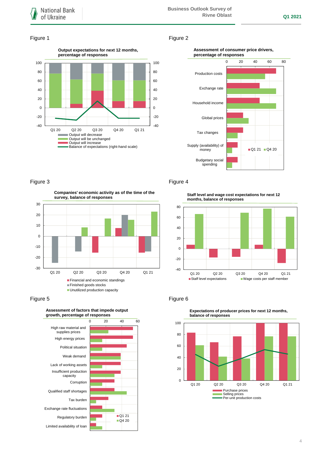### Figure 1 Figure 2



#### **Assessment of consumer price drivers, percentage of responses**



## Figure 3 **Figure 4**

**Companies' economic activity as of the time of the survey, balance of responses**



#### Figure 5 **Figure 6** Figure 6



## **Assessment of factors that impede output**

**Staff level and wage cost expectations for next 12 months, balance of responses**





**Expectations of producer prices for next 12 months,**